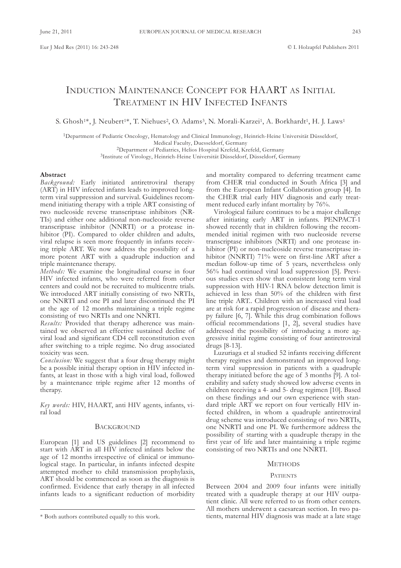# InductIon MaIntEnancE concEPt foR HaaRt as InItIal TREATMENT IN HIV INFECTED INFANTS

S. Ghosh<sup>1\*</sup>, J. Neubert<sup>1\*</sup>, T. Niehues<sup>2</sup>, O. Adams<sup>3</sup>, N. Morali-Karzei<sup>1</sup>, A. Borkhardt<sup>1</sup>, H. J. Laws<sup>1</sup>

<sup>1</sup>Department of Pediatric Oncology, Hematology and Clinical Immunology, Heinrich-Heine Universität Düsseldorf, Medical Faculty, Duesseldorf, Germany <sup>2</sup>Department of Pediatrics, Helios Hospital Krefeld, Krefeld, Germany

<sup>3</sup>Institute of Virology, Heinrich-Heine Universität Düsseldorf, Düsseldorf, Germany

# **Abstract**

*Background:* Early initiated antiretroviral therapy (ART) in HIV infected infants leads to improved longterm viral suppression and survival. Guidelines recommend initiating therapy with a triple ART consisting of two nucleoside reverse transcriptase inhibitors (NRtIs) and either one additional non-nucleoside reverse transcriptase inhibitor (NNRTI) or a protease inhibitor (PI). Compared to older children and adults, viral relapse is seen more frequently in infants receiving triple ART. We now address the possibility of a more potent ART with a quadruple induction and triple maintenance therapy.

*Methods:* We examine the longitudinal course in four HIV infected infants, who were referred from other centers and could not be recruited to multicentre trials. We introduced ART initially consisting of two NRTIs, one NNRTI and one PI and later discontinued the PI at the age of 12 months maintaining a triple regime consisting of two NRTIs and one NNRTI.

*Results:* Provided that therapy adherence was maintained we observed an effective sustained decline of viral load and significant CD4 cell reconstitution even after switching to a triple regime. No drug associated toxicity was seen.

*Conclusion:* We suggest that a four drug therapy might be a possible initial therapy option in HIV infected infants, at least in those with a high viral load, followed by a maintenance triple regime after 12 months of therapy.

*Key words:* HIV, HaaRt, anti HIV agents, infants, viral load

## **BACKGROUND**

European [1] and US guidelines [2] recommend to start with ART in all HIV infected infants below the age of 12 months irrespective of clinical or immunological stage. In particular, in infants infected despite attempted mother to child transmission prophylaxis, ART should be commenced as soon as the diagnosis is confirmed. Evidence that early therapy in all infected infants leads to a significant reduction of morbidity and mortality compared to deferring treatment came from CHER trial conducted in South Africa [3] and from the European Infant Collaboration group [4]. In the cHER trial early HIV diagnosis and early treatment reduced early infant mortality by 76%.

Virological failure continues to be a major challenge after initiating early ART in infants. PENPACT-1 showed recently that in children following the recommended initial regimen with two nucleoside reverse transcriptase inhibitors (NRTI) and one protease inhibitor (PI) or non-nucleoside reverse transcriptase inhibitor (NNRTI) 71% were on first-line ART after a median follow-up time of 5 years, nevertheless only 56% had continued viral load suppression [5]. Previous studies even show that consistent long term viral suppression with HIV-1 RNA below detection limit is achieved in less than 50% of the children with first line triple ART.. Children with an increased viral load are at risk for a rapid progression of disease and therapy failure [6, 7]. While this drug combination follows official recommendations [1, 2], several studies have addressed the possibility of introducing a more aggressive initial regime consisting of four antiretroviral drugs [8-13].

luzuriaga et al studied 52 infants receiving different therapy regimes and demonstrated an improved longterm viral suppression in patients with a quadruple therapy initiated before the age of 3 months [9]. A tolerability and safety study showed low adverse events in children receiving a 4- and 5- drug regimen [10]. Based on these findings and our own experience with standard triple ART we report on four vertically HIV infected children, in whom a quadruple antiretroviral drug scheme was introduced consisting of two NRTIs, one NNRTI and one PI. We furthermore address the possibility of starting with a quadruple therapy in the first year of life and later maintaining a triple regime consisting of two NRTIs and one NNRTI.

## **METHODS**

### **PATIENTS**

Between 2004 and 2009 four infants were initially treated with a quadruple therapy at our HIV outpatient clinic. all were referred to us from other centers. all mothers underwent a caesarean section. In two patients, maternal HIV diagnosis was made at a late stage

<sup>\*</sup> Both authors contributed equally to this work.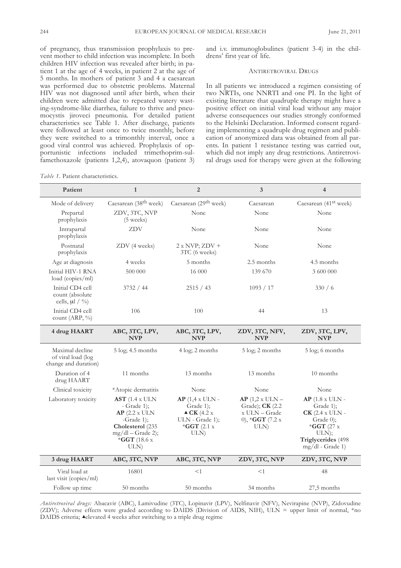of pregnancy, thus transmission prophylaxis to prevent mother to child infection was incomplete. In both children HIV infection was revealed after birth; in patient 1 at the age of 4 weeks, in patient 2 at the age of 5 months. In mothers of patient 3 and 4 a caesarean was performed due to obstetric problems. Maternal HIV was not diagnosed until after birth, when their children were admitted due to repeated watery wasting-syndrome-like diarrhea, failure to thrive and pneumocystis jiroveci pneumonia. for detailed patient characteristics see Table 1. After discharge, patients were followed at least once to twice monthly, before they were switched to a trimonthly interval, once a good viral control was achieved. Prophylaxis of opportunistic infections included trimethoprim-sulfamethoxazole (patients 1,2,4), atovaquon (patient 3)

*Table 1.* Patient characteristics.

and i.v. immunoglobulines (patient 3-4) in the childrens' first year of life.

## ANTIRETROVIRAL DRUGS

In all patients we introduced a regimen consisting of two NRTIs, one NNRTI and one PI. In the light of existing literature that quadruple therapy might have a positive effect on initial viral load without any major adverse consequences our studies strongly conformed to the Helsinki Declaration. Informed consent regarding implementing a quadruple drug regimen and publication of anonymized data was obtained from all parents. In patient 1 resistance testing was carried out, which did not imply any drug restrictions. Antiretroviral drugs used for therapy were given at the following

| Patient                                                       | $\mathbf{1}$                                                                                                                              | $\overline{2}$                                                                                            | 3                                                                                            | $\overline{\mathbf{4}}$                                                                                                                              |
|---------------------------------------------------------------|-------------------------------------------------------------------------------------------------------------------------------------------|-----------------------------------------------------------------------------------------------------------|----------------------------------------------------------------------------------------------|------------------------------------------------------------------------------------------------------------------------------------------------------|
| Mode of delivery                                              | Caesarean (38 <sup>th</sup> week)                                                                                                         | Caesarean (29 <sup>th</sup> week)                                                                         | Caesarean                                                                                    | Caesarean (41 <sup>st</sup> week)                                                                                                                    |
| Prepartal<br>prophylaxis                                      | ZDV, 3TC, NVP<br>$(5 \text{ weeks})$                                                                                                      | None                                                                                                      | None                                                                                         | None                                                                                                                                                 |
| Intrapartal<br>prophylaxis                                    | ZDV                                                                                                                                       | None                                                                                                      | None                                                                                         | None                                                                                                                                                 |
| Postnatal<br>prophylaxis                                      | ZDV (4 weeks)                                                                                                                             | $2 x NVP; ZDV +$<br>3TC (6 weeks)                                                                         | None                                                                                         | None                                                                                                                                                 |
| Age at diagnosis                                              | 4 weeks                                                                                                                                   | 5 months                                                                                                  | 2.5 months                                                                                   | 4.5 months                                                                                                                                           |
| Initial HIV-1 RNA<br>load (copies/ml)                         | 500 000                                                                                                                                   | 16 000                                                                                                    | 139 670                                                                                      | 3 600 000                                                                                                                                            |
| Initial CD4 cell<br>count (absolute<br>cells, $\mu$ l / %)    | 3732 / 44                                                                                                                                 | 2515 / 43                                                                                                 | 1093 / 17                                                                                    | 330/6                                                                                                                                                |
| Initial CD4 cell<br>count $(ARP, %)$                          | 106                                                                                                                                       | 100                                                                                                       | 44                                                                                           | 13                                                                                                                                                   |
| 4 drug HAART                                                  | ABC, 3TC, LPV,<br><b>NVP</b>                                                                                                              | ABC, 3TC, LPV,<br><b>NVP</b>                                                                              | ZDV, 3TC, NFV,<br><b>NVP</b>                                                                 | ZDV, 3TC, LPV,<br><b>NVP</b>                                                                                                                         |
| Maximal decline<br>of viral load (log<br>change and duration) | $5 \log 4.5$ months                                                                                                                       | 4 log; 2 months                                                                                           | 5 log; 2 months                                                                              | 5 log; 6 months                                                                                                                                      |
| Duration of 4<br>drug HAART                                   | 11 months                                                                                                                                 | 13 months                                                                                                 | 13 months                                                                                    | 10 months                                                                                                                                            |
| Clinical toxicity                                             | *Atopic dermatitis                                                                                                                        | None                                                                                                      | None                                                                                         | None                                                                                                                                                 |
| Laboratory toxicity                                           | $AST$ (1.4 x ULN<br>$-$ Grade 1);<br>$AP$ (2.2 x ULN<br>-Grade $1$ );<br>Cholesterol (235<br>mg/dl - Grade 2);<br>* $GGT$ (18.6 x<br>ULN) | $AP(1, 4 \times ULN -$<br>Grade 1);<br>$\triangle$ CK (4.2 x<br>ULN - Grade 1);<br>$*$ GGT (2.1 x<br>ULN) | $AP(1,2 \times ULN -$<br>Grade); <b>CK</b> (2.2)<br>x ULN - Grade<br>0), *GGT (7.2 x<br>ULN) | $AP(1.8 \times ULN -$<br>Grade 1);<br>$CK$ (2.4 x ULN -<br>$Grade$ (0);<br>$*$ <b>GGT</b> (27 x<br>ULN);<br>Triglycerides (498<br>$mg/dl$ - Grade 1) |
| 3 drug HAART                                                  | ABC, 3TC, NVP                                                                                                                             | ABC, 3TC, NVP                                                                                             | ZDV, 3TC, NVP                                                                                | ZDV, 3TC, NVP                                                                                                                                        |
| Viral load at<br>last visit (copies/ml)                       | 16801                                                                                                                                     | $<\!1$                                                                                                    | $<\!1$                                                                                       | 48                                                                                                                                                   |
| Follow up time                                                | 50 months                                                                                                                                 | 50 months                                                                                                 | 34 months                                                                                    | 27,5 months                                                                                                                                          |

*Antiretroviral drugs:* abacavir (aBc), lamivudine (3tc), lopinavir (lPV), nelfinavir (nfV), nevirapine (nVP), Zidovudine (ZDV); Adverse effects were graded according to DAIDS (Division of AIDS, NIH), ULN = upper limit of normal, \*no DAIDS criteria;  $\triangle$ elevated 4 weeks after switching to a triple drug regime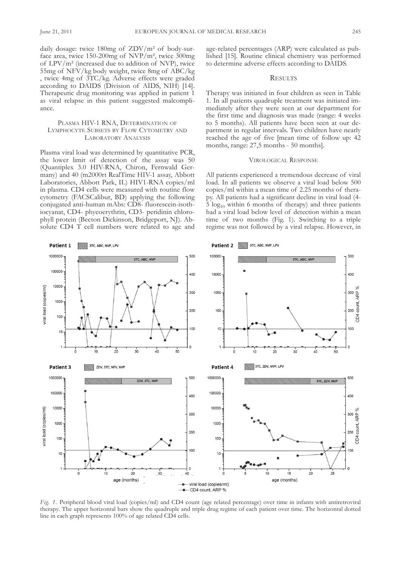daily dosage: twice  $180mg$  of  $ZDV/m^2$  of body-surface area, twice 150-200mg of nVP/m², twice 300mg of lPV/m² (increased due to addition of nVP), twice 55mg of nfV/kg body weight, twice 8mg of aBc/kg , twice 4mg of 3TC/kg. Adverse effects were graded according to DAIDS (Division of AIDS, NIH) [14]. Therapeutic drug monitoring was applied in patient 1 as viral relapse in this patient suggested malcompliance.

## PLASMA HIV-1 RNA, DETERMINATION OF LYMPHOCYTE SUBSETS BY FLOW CYTOMETRY AND LABORATORY ANALYSIS

Plasma viral load was determined by quantitative PcR, the lower limit of detection of the assay was 50 (Quantiplex 3.0 HIV-RNA, Chiron, Fernwald Germany) and 40 (m2000rt RealTime HIV-1 assay, Abbott Laboratories, Abbott Park, IL) HIV1-RNA copies/ml in plasma. CD4 cells were measured with routine flow cytometry (FACSCalibur, BD) applying the following  $conjugated$  anti-human mAbs:  $CD8$ - fluorescein-isothiocyanat, CD4- phycoerythrin, CD3- peridinin chlorophyll protein (Becton Dickinson, Bridgeport, NJ). Absolute CD4 T cell numbers were related to age and age-related percentages (aRP) were calculated as published [15]. Routine clinical chemistry was performed to determine adverse effects according to DAIDS.

# **RESULTS**

Therapy was initiated in four children as seen in Table 1. In all patients quadruple treatment was initiated immediately after they were seen at our department for the first time and diagnosis was made (range: 4 weeks to 5 months). all patients have been seen at our department in regular intervals. Two children have nearly reached the age of five [mean time of follow up: 42 months, range: 27,5 months - 50 months].

## VIRoloGIcal REsPonsE

all patients experienced a tremendous decrease of viral load. In all patients we observe a viral load below 500 copies/ml within a mean time of 2.25 months of therapy. all patients had a significant decline in viral load (4-  $5 \log_{10}$  within 6 months of therapy) and three patients had a viral load below level of detection within a mean time of two months (fig. 1). switching to a triple regime was not followed by a viral relapse. However, in



*Fig.* 1. Peripheral blood viral load (copies/ml) and CD4 count (age related percentage) over time in infants with antiretroviral therapy. The upper horizontal bars show the quadruple and triple drug regime of each patient over time. The horizontal dotted line in each graph represents 100% of age related CD4 cells.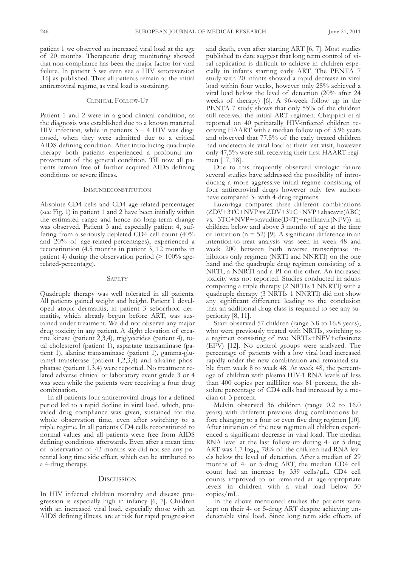patient 1 we observed an increased viral load at the age of 20 months. Therapeutic drug monitoring showed that non-compliance has been the major factor for viral failure. In patient 3 we even see a HIV seroreversion [16] as published. Thus all patients remain at the initial antiretroviral regime, as viral load is sustaining.

## CLINICAL FOLLOW-UP

Patient 1 and 2 were in a good clinical condition, as the diagnosis was established due to a known maternal HIV infection, while in patients  $3 - 4$  HIV was diagnosed, when they were admitted due to a critical AIDS-defining condition. After introducing quadruple therapy both patients experienced a profound improvement of the general condition. Till now all patients remain free of further acquired AIDS defining conditions or severe illness.

#### **IMMUNRECONSTITUTION**

Absolute CD4 cells and CD4 age-related-percentages (see fig. 1) in patient 1 and 2 have been initially within the estimated range and hence no long-term change was observed. Patient 3 and especially patient 4, suffering from a seriously depleted CD4 cell count  $(40\%$ and 20% of age-related-percentages), experienced a reconstitution (4.5 months in patient 3, 12 months in patient 4) during the observation period  $(> 100\%$  agerelated-percentage).

#### SAFETY

Quadruple therapy was well tolerated in all patients. all patients gained weight and height. Patient 1 developed atopic dermatitis; in patient 3 seborrhoic dermatitis, which already begun before ART, was sustained under treatment. We did not observe any major drug toxicity in any patient. A slight elevation of creatine kinase (patient 2,3,4), triglycerides (patient 4), total cholesterol (patient 1), aspartate transaminase (patient 1), alanine transaminase (patient 1), gamma-glutamyl transferase (patient 1,2,3,4) and alkaline phosphatase (patient 1,3,4) were reported. No treatment related adverse clinical or laboratory event grade 3 or 4 was seen while the patients were receiving a four drug combination.

In all patients four antiretroviral drugs for a defined period led to a rapid decline in viral load, which, provided drug compliance was given, sustained for the whole observation time, even after switching to a triple regime. In all patients CD4 cells reconstituted to normal values and all patients were free from AIDS defining conditions afterwards. Even after a mean time of observation of 42 months we did not see any potential long time side effect, which can be attributed to a 4-drug therapy.

## **DISCUSSION**

In HIV infected children mortality and disease progression is especially high in infancy [6, 7]. children with an increased viral load, especially those with an AIDS defining illness, are at risk for rapid progression and death, even after starting ART [6, 7]. Most studies published to date suggest that long term control of viral replication is difficult to achieve in children especially in infants starting early ART. The PENTA 7 study with 20 infants showed a rapid decrease in viral load within four weeks, however only 25% achieved a viral load below the level of detection (20% after 24 weeks of therapy) [6]. a 96-week follow up in the PENTA 7 study shows that only 55% of the children still received the initial ART regimen. Chiappini et al reported on 40 perinatally HIV-infected children receiving HAART with a median follow up of 5.96 years and observed that 77.5% of the early treated children had undetectable viral load at their last visit, however only  $47,5\%$  were still receiving their first HAART regimen [17, 18].

Due to this frequently observed virologic failure several studies have addressed the possibility of introducing a more aggressive initial regime consisting of four antiretroviral drugs however only few authors have compared 3- with 4-drug regimens.

luzuriaga compares three different combinations  $(ZDV+3T\bar{C}+NVP \text{ vs } ZDV+3TC+NVP+a\text{bacavir}(ABC)$ vs. 3TC+NVP+stavudine(D4T)+nelfinavir(NFV)) in children below and above 3 months of age at the time of initiation ( $n = 52$ ) [9]. A significant difference in an intention-to-treat analysis was seen in week 48 and week 200 between both reverse transcriptase inhibitors only regimen (NRTI and NNRTI) on the one hand and the quadruple drug regimen consisting of a NRTI, a NNRTI and a PI on the other. An increased toxicity was not reported. studies conducted in adults comparing a triple therapy (2 NRTIs 1 NNRTI) with a quadruple therapy (3 NRTIs 1 NNRTI) did not show any significant difference leading to the conclusion that an additional drug class is required to see any superiority [8, 11].

starr observed 57 children (range 3.8 to 16.8 years), who were previously treated with NRTIs, switching to a regimen consisting of two NRTIs+NFV+efavirenz (EFV) [12]. No control groups were analyzed. The percentage of patients with a low viral load increased rapidly under the new combination and remained stable from week 8 to week 48. At week 48, the percentage of children with plasma HIV-1 RNA levels of less than 400 copies per milliliter was 81 percent, the absolute percentage of CD4 cells had increased by a median of 3 percent.

Melvin observed 36 children (range 0.2 to 16.0 years) with different previous drug combinations before changing to a four or even five drug regimen [10]. After initiation of the new regimen all children experienced a significant decrease in viral load. The median RNA level at the last follow-up during 4- or 5-drug ART was 1.7  $log_{10}$ , 78% of the children had RNA levels below the level of detection. after a median of 29 months of 4- or 5-drug ART, the median CD4 cell count had an increase by  $339$  cells/ $\mu$ L. CD4 cell counts improved to or remained at age-appropriate levels in children with a viral load below 50 copies/ml.

In the above mentioned studies the patients were kept on their 4- or 5-drug ART despite achieving undetectable viral load. since long term side effects of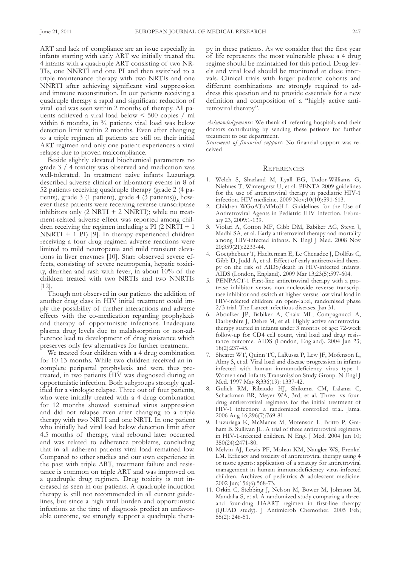ART and lack of compliance are an issue especially in infants starting with early ART we initially treated the 4 infants with a quadruple ART consisting of two NR-TIs, one NNRTI and one PI and then switched to a triple maintenance therapy with two NRTIs and one NNRTI after achieving significant viral suppression and immune reconstitution. In our patients receiving a quadruple therapy a rapid and significant reduction of viral load was seen within 2 months of therapy. all patients achieved a viral load below < 500 copies / ml within 6 months, in  $\frac{3}{4}$  patients viral load was below detection limit within 2 months. Even after changing to a triple regimen all patients are still on their initial ART regimen and only one patient experiences a viral relapse due to proven malcompliance.

Beside slightly elevated biochemical parameters no grade 3 / 4 toxicity was observed and medication was well-tolerated. In treatment naive infants luzuriaga described adverse clinical or laboratory events in 8 of 52 patients receiving quadruple therapy (grade 2 (4 patients), grade 3 (1 patient), grade 4 (3 patients)), however these patients were receiving reverse-transcriptase inhibitors only  $(2 \text{ NRTI} + 2 \text{ NNRTI})$ ; while no treatment-related adverse effect was reported among children receiving the regimen including a PI  $(2 \text{ NRTI} + 1)$  $NNRTI + 1$  PI) [9]. In therapy-experienced children receiving a four drug regimen adverse reactions were limited to mild neutropenia and mild transient elevations in liver enzymes [10]. starr observed severe effects, consisting of severe neutropenia, hepatic toxicity, diarrhea and rash with fever, in about 10% of the children treated with two NRTIs and two NNRTIs [12].

Though not observed in our patients the addition of another drug class in HIV initial treatment could imply the possibility of further interactions and adverse effects with the co-medication regarding prophylaxis and therapy of opportunistic infections. Inadequate plasma drug levels due to malabsorption or non-adherence lead to development of drug resistance which preserves only few alternatives for further treatment.

We treated four children with a 4 drug combination for 10-13 months. While two children received an incomplete peripartal prophylaxis and were thus pretreated, in two patients HIV was diagnosed during an opportunistic infection. Both subgroups strongly qualified for a virologic relapse. Three out of four patients, who were initially treated with a 4 drug combination for 12 months showed sustained virus suppression and did not relapse even after changing to a triple therapy with two NRTI and one NRTI. In one patient who initially had viral load below detection limit after 4.5 months of therapy, viral rebound later occurred and was related to adherence problems, concluding that in all adherent patients viral load remained low. compared to other studies and our own experience in the past with triple ART, treatment failure and resistance is common on triple ART and was improved on a quadruple drug regimen. Drug toxicity is not increased as seen in our patients. a quadruple induction therapy is still not recommended in all current guidelines, but since a high viral burden and opportunistic infections at the time of diagnosis predict an unfavorable outcome, we strongly support a quadruple therapy in these patients. As we consider that the first year of life represents the most vulnerable phase a 4 drug regime should be maintained for this period. Drug levels and viral load should be monitored at close intervals. clinical trials with larger pediatric cohorts and different combinations are strongly required to address this question and to provide essentials for a new definition and composition of a "highly active antiretroviral therapy".

*Acknowledgements:* We thank all referring hospitals and their doctors contributing by sending these patients for further treatment to our department.

*Statement of financial support:* no financial support was received

## **REFERENCES**

- 1. Welch S, Sharland M, Lyall EG, Tudor-Williams G, Niehues T, Wintergerst U, et al. PENTA 2009 guidelines for the use of antiretroviral therapy in paediatric HIV-1 infection. HIV medicine. 2009 nov;10(10):591-613.
- 2. Children WGoATaMMoH-I. Guidelines for the Use of Antiretroviral Agents in Pediatric HIV Infection. February 23, 2009:1-139.
- 3. Violari A, Cotton MF, Gibb DM, Babiker AG, Steyn J, Madhi SA, et al. Early antiretroviral therapy and mortality among HIV-infected infants. N Engl J Med. 2008 Nov 20;359(21):2233-44.
- 4. Goetghebuer T, Haelterman E, Le Chenadec J, Dollfus C, Gibb D, Judd A, et al. Effect of early antiretroviral therapy on the risk of AIDS/death in HIV-infected infants. aIds (london, England). 2009 Mar 13;23(5):597-604.
- 5. PEnPact-1 first-line antiretroviral therapy with a protease inhibitor versus non-nucleoside reverse transcriptase inhibitor and switch at higher versus low viral load in HIV-infected children: an open-label, randomised phase 2/3 trial. The Lancet infectious diseases. Jan 31.
- 6. aboulker JP, Babiker a, chaix Ml, compagnucci a, Darbyshire J, Debre M, et al. Highly active antiretroviral therapy started in infants under 3 months of age: 72-week follow-up for CD4 cell count, viral load and drug resistance outcome. AIDS (London, England). 2004 Jan 23; 18(2):237-45.
- 7. Shearer WT, Quinn TC, LaRussa P, Lew JF, Mofenson L, almy s, et al. Viral load and disease progression in infants infected with human immunodeficiency virus type 1. Women and Infants Transmission Study Group. N Engl J Med. 1997 May 8;336(19): 1337-42.
- 8. Gulick RM, Ribaudo HJ, shikuma cM, lalama c, Schackman BR, Meyer WA, 3rd, et al. Three- vs fourdrug antiretroviral regimens for the initial treatment of HIV-1 infection: a randomized controlled trial. Jama. 2006 aug 16;296(7):769-81.
- 9. luzuriaga K, McManus M, Mofenson l, Britto P, Graham B, Sullivan JL. A trial of three antiretroviral regimens in HIV-1-infected children. N Engl J Med. 2004 Jun 10; 350(24):2471-80.
- 10. Melvin aJ, lewis Pf, Mohan KM, naugler Ws, frenkel LM. Efficacy and toxicity of antiretroviral therapy using 4 or more agents: application of a strategy for antiretroviral management in human immunodeficiency virus-infected children. archives of pediatrics & adolescent medicine. 2002 Jun;156(6):568-73.
- 11. orkin c, stebbing J, nelson M, Bower M, Johnson M, Mandalia S, et al. A randomized study comparing a threeand four-drug HAART regimen in first-line therapy (QUAD study). J Antimicrob Chemother. 2005 Feb; 55(2): 246-51.